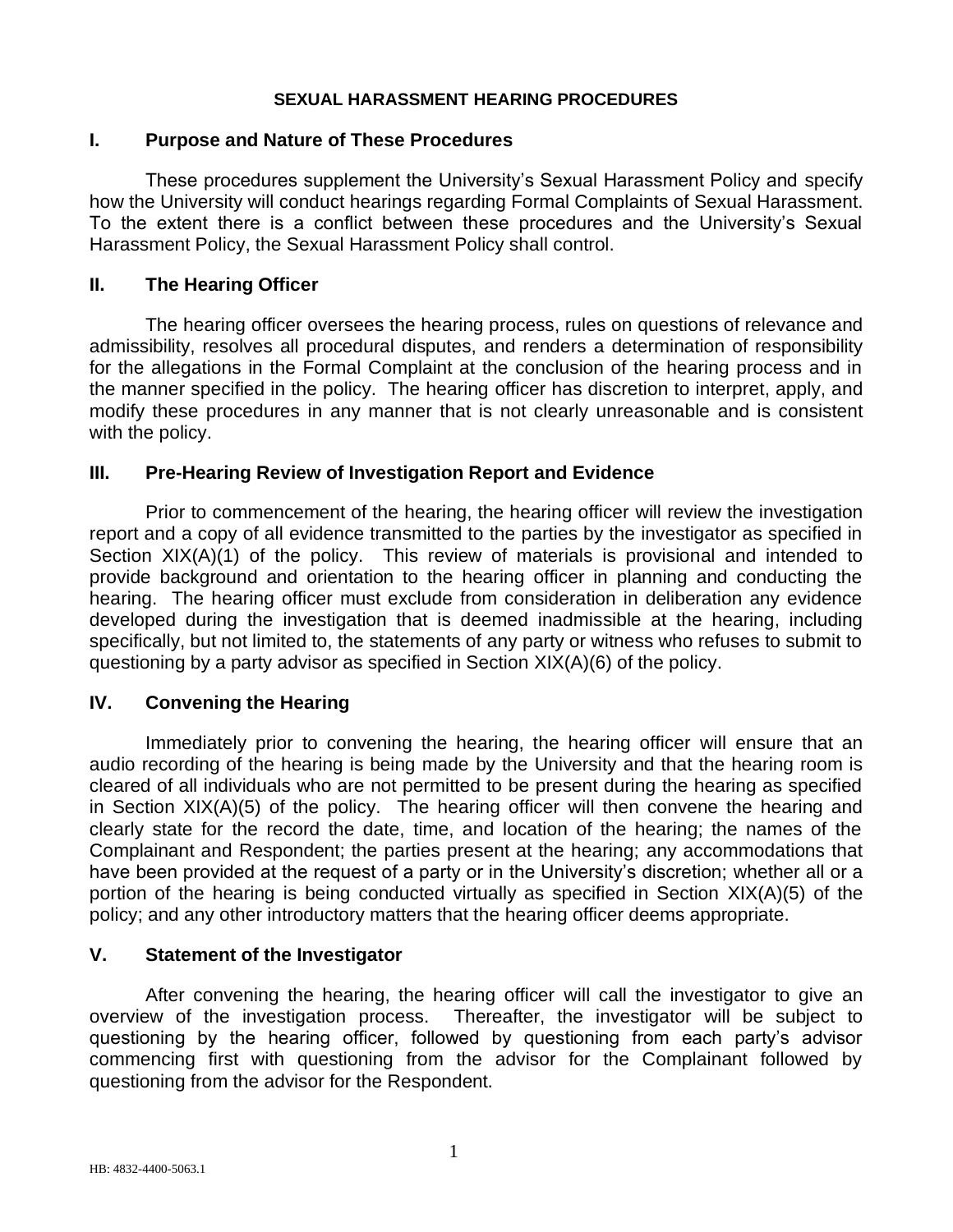#### **SEXUAL HARASSMENT HEARING PROCEDURES**

#### **I. Purpose and Nature of These Procedures**

These procedures supplement the University's Sexual Harassment Policy and specify how the University will conduct hearings regarding Formal Complaints of Sexual Harassment. To the extent there is a conflict between these procedures and the University's Sexual Harassment Policy, the Sexual Harassment Policy shall control.

#### **II. The Hearing Officer**

The hearing officer oversees the hearing process, rules on questions of relevance and admissibility, resolves all procedural disputes, and renders a determination of responsibility for the allegations in the Formal Complaint at the conclusion of the hearing process and in the manner specified in the policy. The hearing officer has discretion to interpret, apply, and modify these procedures in any manner that is not clearly unreasonable and is consistent with the policy.

#### **III. Pre-Hearing Review of Investigation Report and Evidence**

Prior to commencement of the hearing, the hearing officer will review the investigation report and a copy of all evidence transmitted to the parties by the investigator as specified in Section XIX(A)(1) of the policy. This review of materials is provisional and intended to provide background and orientation to the hearing officer in planning and conducting the hearing. The hearing officer must exclude from consideration in deliberation any evidence developed during the investigation that is deemed inadmissible at the hearing, including specifically, but not limited to, the statements of any party or witness who refuses to submit to questioning by a party advisor as specified in Section XIX(A)(6) of the policy.

## **IV. Convening the Hearing**

Immediately prior to convening the hearing, the hearing officer will ensure that an audio recording of the hearing is being made by the University and that the hearing room is cleared of all individuals who are not permitted to be present during the hearing as specified in Section XIX(A)(5) of the policy. The hearing officer will then convene the hearing and clearly state for the record the date, time, and location of the hearing; the names of the Complainant and Respondent; the parties present at the hearing; any accommodations that have been provided at the request of a party or in the University's discretion; whether all or a portion of the hearing is being conducted virtually as specified in Section XIX(A)(5) of the policy; and any other introductory matters that the hearing officer deems appropriate.

#### **V. Statement of the Investigator**

After convening the hearing, the hearing officer will call the investigator to give an overview of the investigation process. Thereafter, the investigator will be subject to questioning by the hearing officer, followed by questioning from each party's advisor commencing first with questioning from the advisor for the Complainant followed by questioning from the advisor for the Respondent.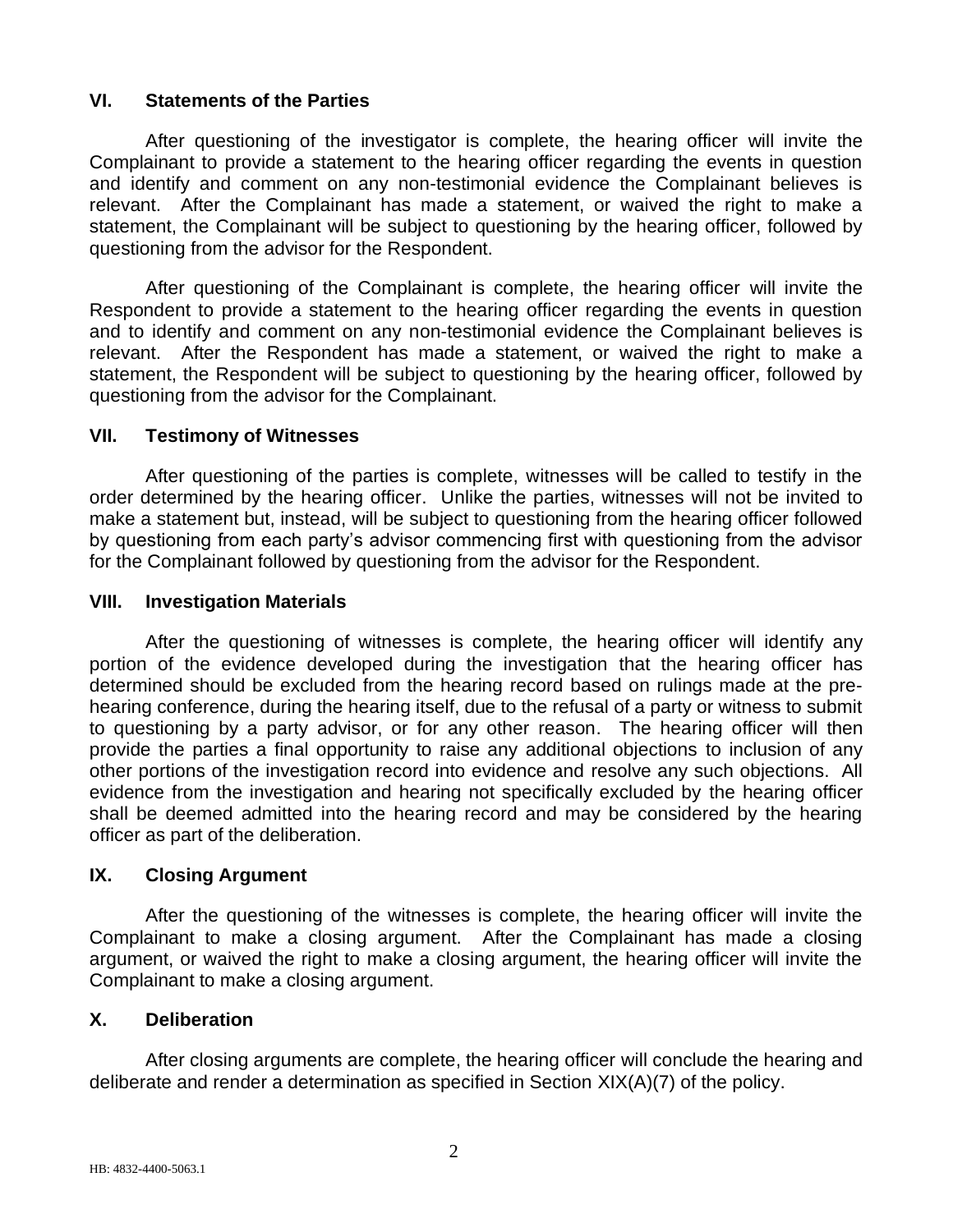# **VI. Statements of the Parties**

After questioning of the investigator is complete, the hearing officer will invite the Complainant to provide a statement to the hearing officer regarding the events in question and identify and comment on any non-testimonial evidence the Complainant believes is relevant. After the Complainant has made a statement, or waived the right to make a statement, the Complainant will be subject to questioning by the hearing officer, followed by questioning from the advisor for the Respondent.

After questioning of the Complainant is complete, the hearing officer will invite the Respondent to provide a statement to the hearing officer regarding the events in question and to identify and comment on any non-testimonial evidence the Complainant believes is relevant. After the Respondent has made a statement, or waived the right to make a statement, the Respondent will be subject to questioning by the hearing officer, followed by questioning from the advisor for the Complainant.

## **VII. Testimony of Witnesses**

After questioning of the parties is complete, witnesses will be called to testify in the order determined by the hearing officer. Unlike the parties, witnesses will not be invited to make a statement but, instead, will be subject to questioning from the hearing officer followed by questioning from each party's advisor commencing first with questioning from the advisor for the Complainant followed by questioning from the advisor for the Respondent.

## **VIII. Investigation Materials**

After the questioning of witnesses is complete, the hearing officer will identify any portion of the evidence developed during the investigation that the hearing officer has determined should be excluded from the hearing record based on rulings made at the prehearing conference, during the hearing itself, due to the refusal of a party or witness to submit to questioning by a party advisor, or for any other reason. The hearing officer will then provide the parties a final opportunity to raise any additional objections to inclusion of any other portions of the investigation record into evidence and resolve any such objections. All evidence from the investigation and hearing not specifically excluded by the hearing officer shall be deemed admitted into the hearing record and may be considered by the hearing officer as part of the deliberation.

## **IX. Closing Argument**

After the questioning of the witnesses is complete, the hearing officer will invite the Complainant to make a closing argument. After the Complainant has made a closing argument, or waived the right to make a closing argument, the hearing officer will invite the Complainant to make a closing argument.

## **X. Deliberation**

After closing arguments are complete, the hearing officer will conclude the hearing and deliberate and render a determination as specified in Section XIX(A)(7) of the policy.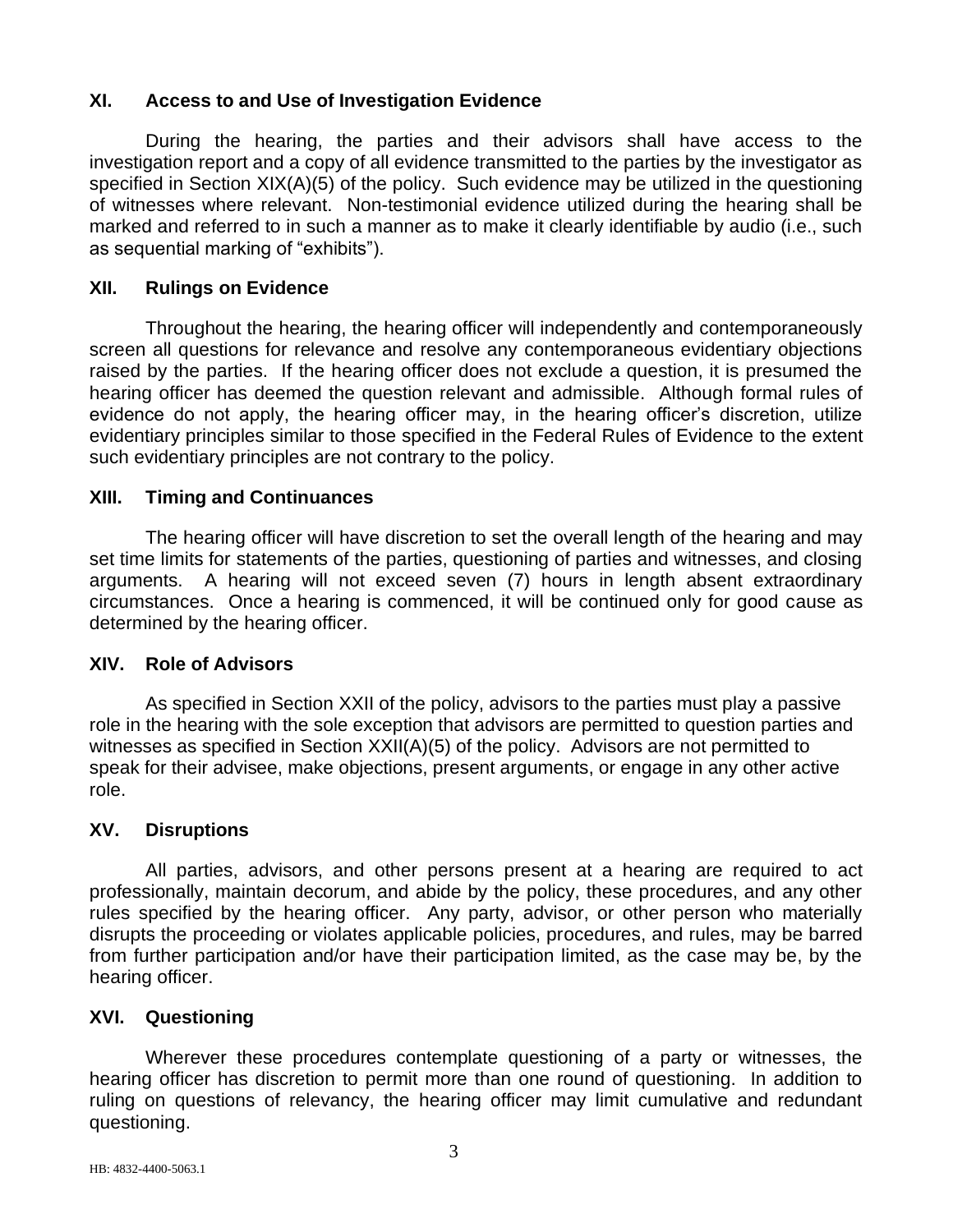# **XI. Access to and Use of Investigation Evidence**

During the hearing, the parties and their advisors shall have access to the investigation report and a copy of all evidence transmitted to the parties by the investigator as specified in Section XIX(A)(5) of the policy. Such evidence may be utilized in the questioning of witnesses where relevant. Non-testimonial evidence utilized during the hearing shall be marked and referred to in such a manner as to make it clearly identifiable by audio (i.e., such as sequential marking of "exhibits").

# **XII. Rulings on Evidence**

Throughout the hearing, the hearing officer will independently and contemporaneously screen all questions for relevance and resolve any contemporaneous evidentiary objections raised by the parties. If the hearing officer does not exclude a question, it is presumed the hearing officer has deemed the question relevant and admissible. Although formal rules of evidence do not apply, the hearing officer may, in the hearing officer's discretion, utilize evidentiary principles similar to those specified in the Federal Rules of Evidence to the extent such evidentiary principles are not contrary to the policy.

## **XIII. Timing and Continuances**

The hearing officer will have discretion to set the overall length of the hearing and may set time limits for statements of the parties, questioning of parties and witnesses, and closing arguments. A hearing will not exceed seven (7) hours in length absent extraordinary circumstances. Once a hearing is commenced, it will be continued only for good cause as determined by the hearing officer.

## **XIV. Role of Advisors**

As specified in Section XXII of the policy, advisors to the parties must play a passive role in the hearing with the sole exception that advisors are permitted to question parties and witnesses as specified in Section XXII(A)(5) of the policy. Advisors are not permitted to speak for their advisee, make objections, present arguments, or engage in any other active role.

## **XV. Disruptions**

All parties, advisors, and other persons present at a hearing are required to act professionally, maintain decorum, and abide by the policy, these procedures, and any other rules specified by the hearing officer. Any party, advisor, or other person who materially disrupts the proceeding or violates applicable policies, procedures, and rules, may be barred from further participation and/or have their participation limited, as the case may be, by the hearing officer.

## **XVI. Questioning**

Wherever these procedures contemplate questioning of a party or witnesses, the hearing officer has discretion to permit more than one round of questioning. In addition to ruling on questions of relevancy, the hearing officer may limit cumulative and redundant questioning.